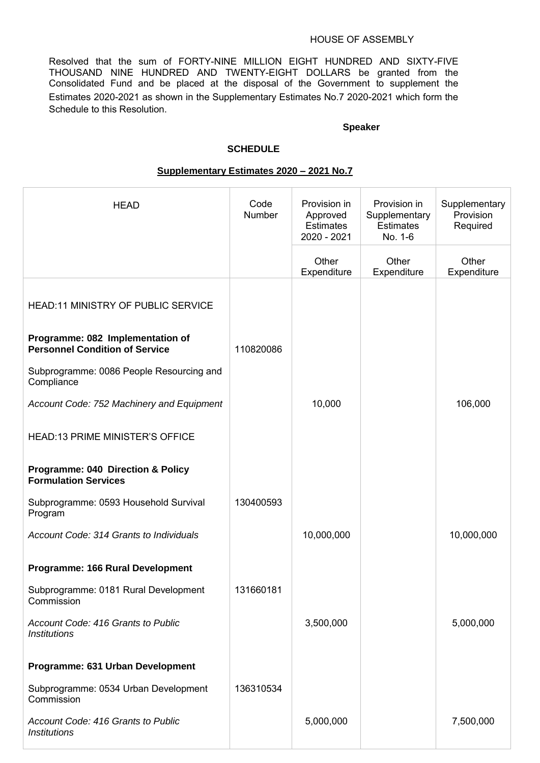### HOUSE OF ASSEMBLY

Resolved that the sum of FORTY-NINE MILLION EIGHT HUNDRED AND SIXTY-FIVE THOUSAND NINE HUNDRED AND TWENTY-EIGHT DOLLARS be granted from the Consolidated Fund and be placed at the disposal of the Government to supplement the Estimates 2020-2021 as shown in the Supplementary Estimates No.7 2020-2021 which form the Schedule to this Resolution.

#### **Speaker Speaker Speaker**

### **SCHEDULE**

### **Supplementary Estimates 2020 – 2021 No.7**

| <b>HEAD</b>                                                                 | Code<br>Number | Provision in<br>Approved<br><b>Estimates</b><br>2020 - 2021 | Provision in<br>Supplementary<br><b>Estimates</b><br>No. 1-6 | Supplementary<br>Provision<br>Required |
|-----------------------------------------------------------------------------|----------------|-------------------------------------------------------------|--------------------------------------------------------------|----------------------------------------|
|                                                                             |                | Other<br>Expenditure                                        | Other<br>Expenditure                                         | Other<br>Expenditure                   |
| <b>HEAD:11 MINISTRY OF PUBLIC SERVICE</b>                                   |                |                                                             |                                                              |                                        |
| Programme: 082 Implementation of<br><b>Personnel Condition of Service</b>   | 110820086      |                                                             |                                                              |                                        |
| Subprogramme: 0086 People Resourcing and<br>Compliance                      |                |                                                             |                                                              |                                        |
| Account Code: 752 Machinery and Equipment                                   |                | 10,000                                                      |                                                              | 106,000                                |
| <b>HEAD:13 PRIME MINISTER'S OFFICE</b>                                      |                |                                                             |                                                              |                                        |
| <b>Programme: 040 Direction &amp; Policy</b><br><b>Formulation Services</b> |                |                                                             |                                                              |                                        |
| Subprogramme: 0593 Household Survival<br>Program                            | 130400593      |                                                             |                                                              |                                        |
| Account Code: 314 Grants to Individuals                                     |                | 10,000,000                                                  |                                                              | 10,000,000                             |
| Programme: 166 Rural Development                                            |                |                                                             |                                                              |                                        |
| Subprogramme: 0181 Rural Development<br>Commission                          | 131660181      |                                                             |                                                              |                                        |
| Account Code: 416 Grants to Public<br><b>Institutions</b>                   |                | 3,500,000                                                   |                                                              | 5,000,000                              |
| Programme: 631 Urban Development                                            |                |                                                             |                                                              |                                        |
| Subprogramme: 0534 Urban Development<br>Commission                          | 136310534      |                                                             |                                                              |                                        |
| Account Code: 416 Grants to Public<br><b>Institutions</b>                   |                | 5,000,000                                                   |                                                              | 7,500,000                              |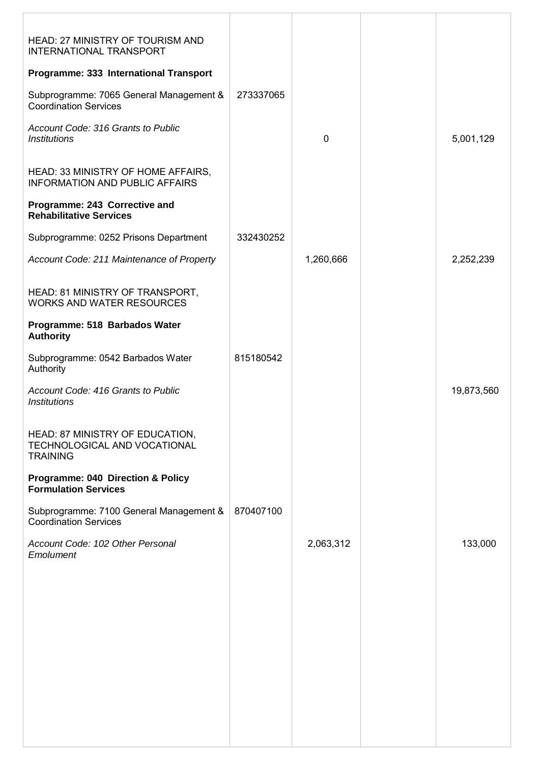| HEAD: 27 MINISTRY OF TOURISM AND<br><b>INTERNATIONAL TRANSPORT</b>                 |           |             |            |
|------------------------------------------------------------------------------------|-----------|-------------|------------|
| Programme: 333 International Transport                                             |           |             |            |
| Subprogramme: 7065 General Management &<br><b>Coordination Services</b>            | 273337065 |             |            |
| Account Code: 316 Grants to Public<br><b>Institutions</b>                          |           | $\mathbf 0$ | 5,001,129  |
| HEAD: 33 MINISTRY OF HOME AFFAIRS,<br><b>INFORMATION AND PUBLIC AFFAIRS</b>        |           |             |            |
| Programme: 243 Corrective and<br><b>Rehabilitative Services</b>                    |           |             |            |
| Subprogramme: 0252 Prisons Department                                              | 332430252 |             |            |
| Account Code: 211 Maintenance of Property                                          |           | 1,260,666   | 2,252,239  |
| HEAD: 81 MINISTRY OF TRANSPORT,<br><b>WORKS AND WATER RESOURCES</b>                |           |             |            |
| Programme: 518 Barbados Water<br><b>Authority</b>                                  |           |             |            |
| Subprogramme: 0542 Barbados Water<br>Authority                                     | 815180542 |             |            |
| Account Code: 416 Grants to Public<br><b>Institutions</b>                          |           |             | 19,873,560 |
| HEAD: 87 MINISTRY OF EDUCATION,<br>TECHNOLOGICAL AND VOCATIONAL<br><b>TRAINING</b> |           |             |            |
| <b>Programme: 040 Direction &amp; Policy</b><br><b>Formulation Services</b>        |           |             |            |
| Subprogramme: 7100 General Management &<br><b>Coordination Services</b>            | 870407100 |             |            |
| Account Code: 102 Other Personal<br>Emolument                                      |           | 2,063,312   | 133,000    |
|                                                                                    |           |             |            |
|                                                                                    |           |             |            |
|                                                                                    |           |             |            |
|                                                                                    |           |             |            |
|                                                                                    |           |             |            |
|                                                                                    |           |             |            |
|                                                                                    |           |             |            |
|                                                                                    |           |             |            |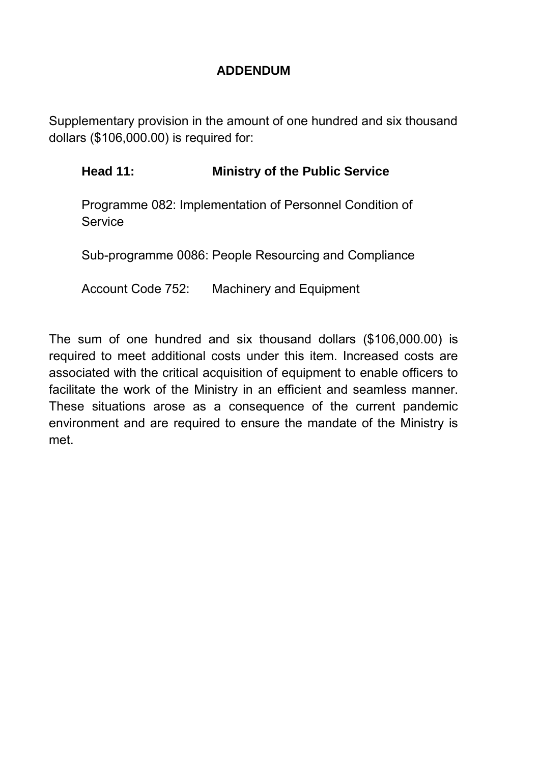Supplementary provision in the amount of one hundred and six thousand dollars (\$106,000.00) is required for:

# **Head 11: Ministry of the Public Service**

Programme 082: Implementation of Personnel Condition of **Service** 

Sub-programme 0086: People Resourcing and Compliance

Account Code 752: Machinery and Equipment

The sum of one hundred and six thousand dollars (\$106,000.00) is required to meet additional costs under this item. Increased costs are associated with the critical acquisition of equipment to enable officers to facilitate the work of the Ministry in an efficient and seamless manner. These situations arose as a consequence of the current pandemic environment and are required to ensure the mandate of the Ministry is met.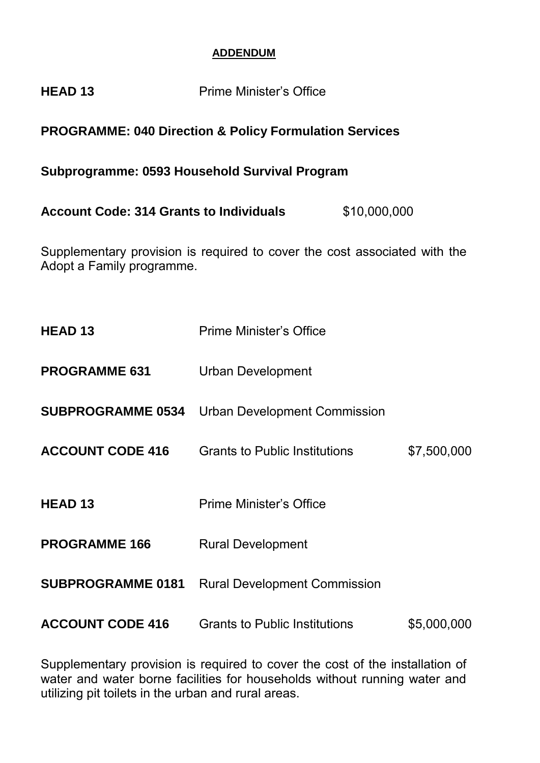**HEAD 13** Prime Minister's Office

# **PROGRAMME: 040 Direction & Policy Formulation Services**

# **Subprogramme: 0593 Household Survival Program**

Account Code: 314 Grants to Individuals  $$10,000,000$ 

Supplementary provision is required to cover the cost associated with the Adopt a Family programme.

| <b>HEAD13</b>            | <b>Prime Minister's Office</b>                        |             |
|--------------------------|-------------------------------------------------------|-------------|
| <b>PROGRAMME 631</b>     | Urban Development                                     |             |
|                          | <b>SUBPROGRAMME 0534</b> Urban Development Commission |             |
| <b>ACCOUNT CODE 416</b>  | <b>Grants to Public Institutions</b>                  | \$7,500,000 |
| <b>HEAD 13</b>           | <b>Prime Minister's Office</b>                        |             |
| <b>PROGRAMME 166</b>     | <b>Rural Development</b>                              |             |
| <b>SUBPROGRAMME 0181</b> | <b>Rural Development Commission</b>                   |             |
| <b>ACCOUNT CODE 416</b>  | <b>Grants to Public Institutions</b>                  | \$5,000,000 |

Supplementary provision is required to cover the cost of the installation of water and water borne facilities for households without running water and utilizing pit toilets in the urban and rural areas.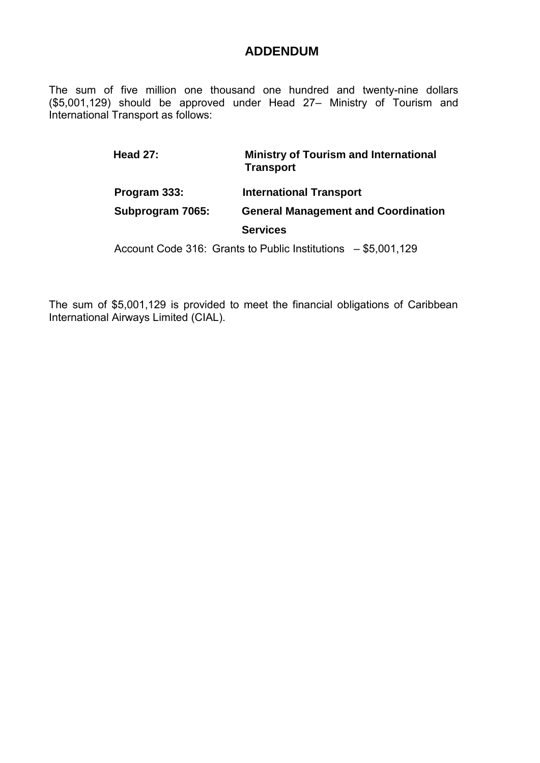The sum of five million one thousand one hundred and twenty-nine dollars (\$5,001,129) should be approved under Head 27– Ministry of Tourism and International Transport as follows:

| Head 27:         | <b>Ministry of Tourism and International</b><br><b>Transport</b> |
|------------------|------------------------------------------------------------------|
| Program 333:     | <b>International Transport</b>                                   |
| Subprogram 7065: | <b>General Management and Coordination</b>                       |
|                  | <b>Services</b>                                                  |
|                  | AF AAL LAA                                                       |

Account Code 316: Grants to Public Institutions – \$5,001,129

The sum of \$5,001,129 is provided to meet the financial obligations of Caribbean International Airways Limited (CIAL).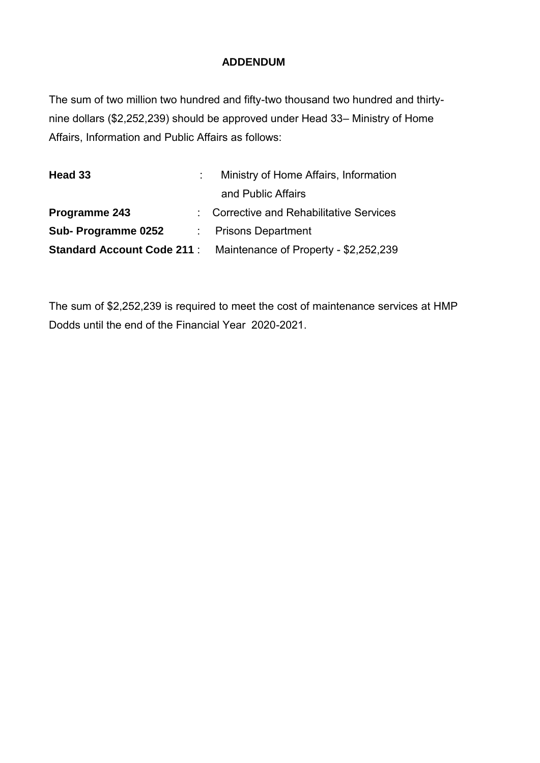The sum of two million two hundred and fifty-two thousand two hundred and thirtynine dollars (\$2,252,239) should be approved under Head 33– Ministry of Home Affairs, Information and Public Affairs as follows:

| Head 33              | Ministry of Home Affairs, Information                                   |
|----------------------|-------------------------------------------------------------------------|
|                      | and Public Affairs                                                      |
| <b>Programme 243</b> | : Corrective and Rehabilitative Services                                |
| Sub-Programme 0252   | : Prisons Department                                                    |
|                      | <b>Standard Account Code 211:</b> Maintenance of Property - \$2,252,239 |

The sum of \$2,252,239 is required to meet the cost of maintenance services at HMP Dodds until the end of the Financial Year 2020-2021.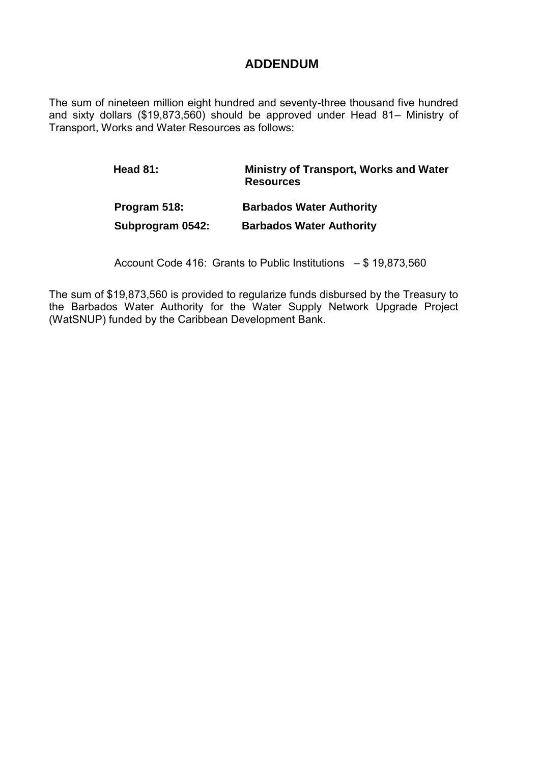The sum of nineteen million eight hundred and seventy-three thousand five hundred and sixty dollars (\$19,873,560) should be approved under Head 81– Ministry of Transport, Works and Water Resources as follows:

| Head $81:$       | <b>Ministry of Transport, Works and Water</b><br><b>Resources</b> |
|------------------|-------------------------------------------------------------------|
| Program 518:     | <b>Barbados Water Authority</b>                                   |
| Subprogram 0542: | <b>Barbados Water Authority</b>                                   |

Account Code 416: Grants to Public Institutions – \$ 19,873,560

The sum of \$19,873,560 is provided to regularize funds disbursed by the Treasury to the Barbados Water Authority for the Water Supply Network Upgrade Project (WatSNUP) funded by the Caribbean Development Bank.